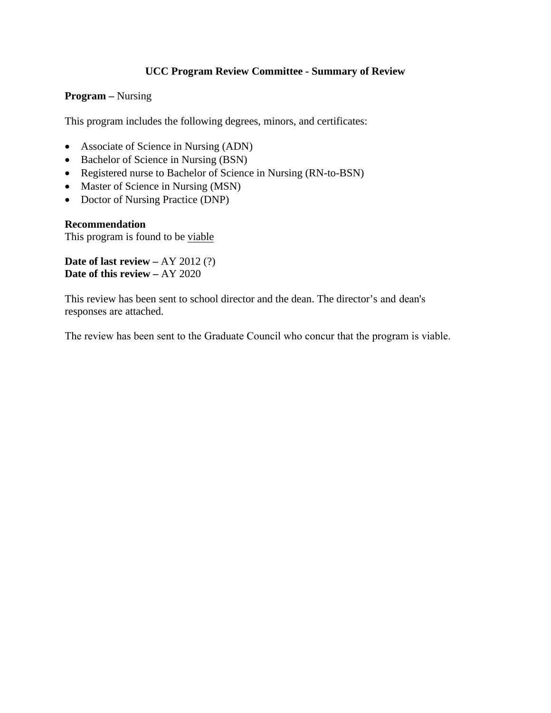### **UCC Program Review Committee - Summary of Review**

#### **Program –** Nursing

This program includes the following degrees, minors, and certificates:

- Associate of Science in Nursing (ADN)
- Bachelor of Science in Nursing (BSN)
- Registered nurse to Bachelor of Science in Nursing (RN-to-BSN)
- Master of Science in Nursing (MSN)
- Doctor of Nursing Practice (DNP)

#### **Recommendation**

This program is found to be viable

**Date of last review –** AY 2012 (?) **Date of this review –** AY 2020

This review has been sent to school director and the dean. The director's and dean's responses are attached.

The review has been sent to the Graduate Council who concur that the program is viable.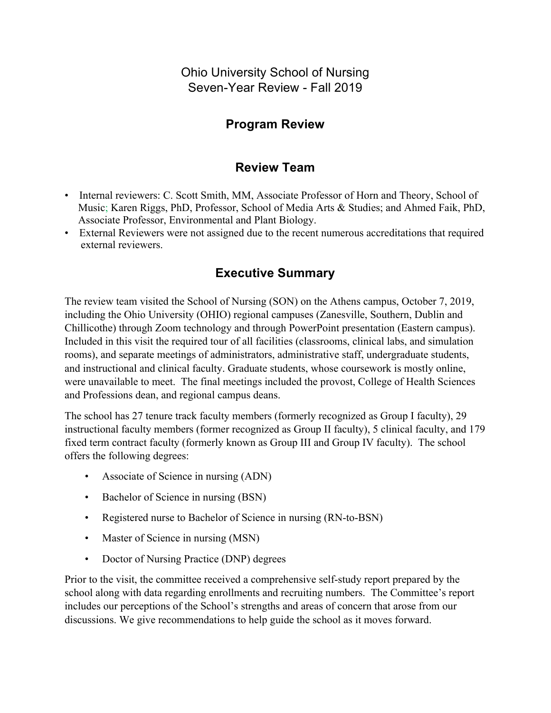Ohio University School of Nursing Seven-Year Review - Fall 2019

# **Program Review**

# **Review Team**

- Internal reviewers: C. Scott Smith, MM, Associate Professor of Horn and Theory, School of Music; Karen Riggs, PhD, Professor, School of Media Arts & Studies; and Ahmed Faik, PhD, Associate Professor, Environmental and Plant Biology.
- External Reviewers were not assigned due to the recent numerous accreditations that required external reviewers.

# **Executive Summary**

The review team visited the School of Nursing (SON) on the Athens campus, October 7, 2019, including the Ohio University (OHIO) regional campuses (Zanesville, Southern, Dublin and Chillicothe) through Zoom technology and through PowerPoint presentation (Eastern campus). Included in this visit the required tour of all facilities (classrooms, clinical labs, and simulation rooms), and separate meetings of administrators, administrative staff, undergraduate students, and instructional and clinical faculty. Graduate students, whose coursework is mostly online, were unavailable to meet. The final meetings included the provost, College of Health Sciences and Professions dean, and regional campus deans.

The school has 27 tenure track faculty members (formerly recognized as Group I faculty), 29 instructional faculty members (former recognized as Group II faculty), 5 clinical faculty, and 179 fixed term contract faculty (formerly known as Group III and Group IV faculty). The school offers the following degrees:

- Associate of Science in nursing (ADN)
- Bachelor of Science in nursing (BSN)
- Registered nurse to Bachelor of Science in nursing (RN-to-BSN)
- Master of Science in nursing (MSN)
- Doctor of Nursing Practice (DNP) degrees

Prior to the visit, the committee received a comprehensive self-study report prepared by the school along with data regarding enrollments and recruiting numbers. The Committee's report includes our perceptions of the School's strengths and areas of concern that arose from our discussions. We give recommendations to help guide the school as it moves forward.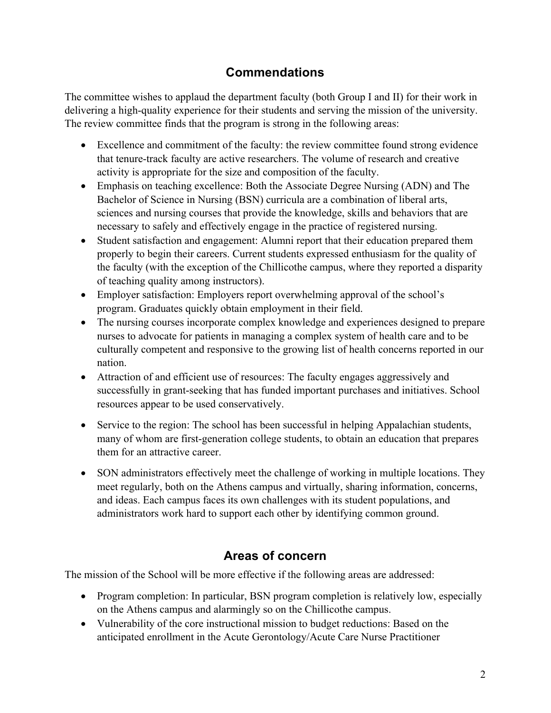# **Commendations**

The committee wishes to applaud the department faculty (both Group I and II) for their work in delivering a high-quality experience for their students and serving the mission of the university. The review committee finds that the program is strong in the following areas:

- Excellence and commitment of the faculty: the review committee found strong evidence that tenure-track faculty are active researchers. The volume of research and creative activity is appropriate for the size and composition of the faculty.
- Emphasis on teaching excellence: Both the Associate Degree Nursing (ADN) and The Bachelor of Science in Nursing (BSN) curricula are a combination of liberal arts, sciences and nursing courses that provide the knowledge, skills and behaviors that are necessary to safely and effectively engage in the practice of registered nursing.
- Student satisfaction and engagement: Alumni report that their education prepared them properly to begin their careers. Current students expressed enthusiasm for the quality of the faculty (with the exception of the Chillicothe campus, where they reported a disparity of teaching quality among instructors).
- Employer satisfaction: Employers report overwhelming approval of the school's program. Graduates quickly obtain employment in their field.
- The nursing courses incorporate complex knowledge and experiences designed to prepare nurses to advocate for patients in managing a complex system of health care and to be culturally competent and responsive to the growing list of health concerns reported in our nation.
- Attraction of and efficient use of resources: The faculty engages aggressively and successfully in grant-seeking that has funded important purchases and initiatives. School resources appear to be used conservatively.
- Service to the region: The school has been successful in helping Appalachian students, many of whom are first-generation college students, to obtain an education that prepares them for an attractive career.
- SON administrators effectively meet the challenge of working in multiple locations. They meet regularly, both on the Athens campus and virtually, sharing information, concerns, and ideas. Each campus faces its own challenges with its student populations, and administrators work hard to support each other by identifying common ground.

# **Areas of concern**

The mission of the School will be more effective if the following areas are addressed:

- Program completion: In particular, BSN program completion is relatively low, especially on the Athens campus and alarmingly so on the Chillicothe campus.
- Vulnerability of the core instructional mission to budget reductions: Based on the anticipated enrollment in the Acute Gerontology/Acute Care Nurse Practitioner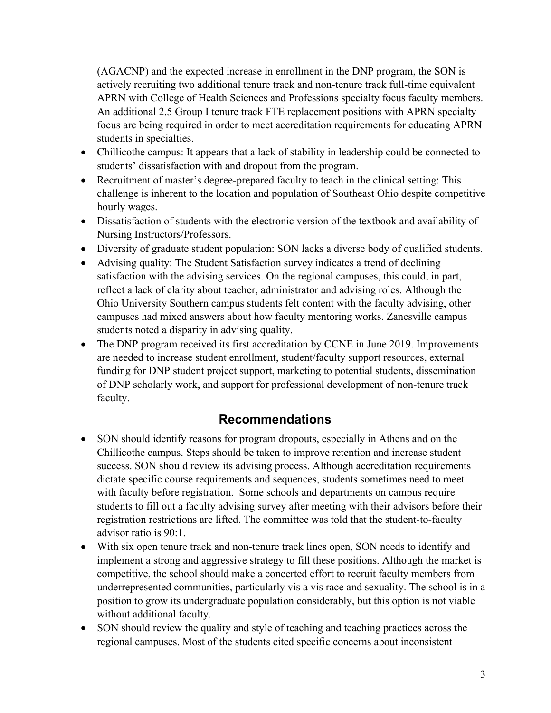(AGACNP) and the expected increase in enrollment in the DNP program, the SON is actively recruiting two additional tenure track and non-tenure track full-time equivalent APRN with College of Health Sciences and Professions specialty focus faculty members. An additional 2.5 Group I tenure track FTE replacement positions with APRN specialty focus are being required in order to meet accreditation requirements for educating APRN students in specialties.

- Chillicothe campus: It appears that a lack of stability in leadership could be connected to students' dissatisfaction with and dropout from the program.
- Recruitment of master's degree-prepared faculty to teach in the clinical setting: This challenge is inherent to the location and population of Southeast Ohio despite competitive hourly wages.
- Dissatisfaction of students with the electronic version of the textbook and availability of Nursing Instructors/Professors.
- Diversity of graduate student population: SON lacks a diverse body of qualified students.
- Advising quality: The Student Satisfaction survey indicates a trend of declining satisfaction with the advising services. On the regional campuses, this could, in part, reflect a lack of clarity about teacher, administrator and advising roles. Although the Ohio University Southern campus students felt content with the faculty advising, other campuses had mixed answers about how faculty mentoring works. Zanesville campus students noted a disparity in advising quality.
- The DNP program received its first accreditation by CCNE in June 2019. Improvements are needed to increase student enrollment, student/faculty support resources, external funding for DNP student project support, marketing to potential students, dissemination of DNP scholarly work, and support for professional development of non-tenure track faculty.

## **Recommendations**

- SON should identify reasons for program dropouts, especially in Athens and on the Chillicothe campus. Steps should be taken to improve retention and increase student success. SON should review its advising process. Although accreditation requirements dictate specific course requirements and sequences, students sometimes need to meet with faculty before registration. Some schools and departments on campus require students to fill out a faculty advising survey after meeting with their advisors before their registration restrictions are lifted. The committee was told that the student-to-faculty advisor ratio is 90:1.
- With six open tenure track and non-tenure track lines open, SON needs to identify and implement a strong and aggressive strategy to fill these positions. Although the market is competitive, the school should make a concerted effort to recruit faculty members from underrepresented communities, particularly vis a vis race and sexuality. The school is in a position to grow its undergraduate population considerably, but this option is not viable without additional faculty.
- SON should review the quality and style of teaching and teaching practices across the regional campuses. Most of the students cited specific concerns about inconsistent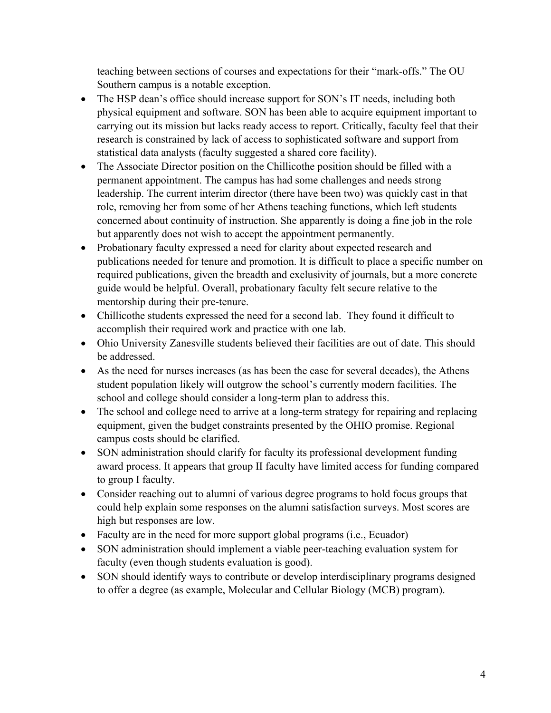teaching between sections of courses and expectations for their "mark-offs." The OU Southern campus is a notable exception.

- The HSP dean's office should increase support for SON's IT needs, including both physical equipment and software. SON has been able to acquire equipment important to carrying out its mission but lacks ready access to report. Critically, faculty feel that their research is constrained by lack of access to sophisticated software and support from statistical data analysts (faculty suggested a shared core facility).
- The Associate Director position on the Chillicothe position should be filled with a permanent appointment. The campus has had some challenges and needs strong leadership. The current interim director (there have been two) was quickly cast in that role, removing her from some of her Athens teaching functions, which left students concerned about continuity of instruction. She apparently is doing a fine job in the role but apparently does not wish to accept the appointment permanently.
- Probationary faculty expressed a need for clarity about expected research and publications needed for tenure and promotion. It is difficult to place a specific number on required publications, given the breadth and exclusivity of journals, but a more concrete guide would be helpful. Overall, probationary faculty felt secure relative to the mentorship during their pre-tenure.
- Chillicothe students expressed the need for a second lab. They found it difficult to accomplish their required work and practice with one lab.
- Ohio University Zanesville students believed their facilities are out of date. This should be addressed.
- As the need for nurses increases (as has been the case for several decades), the Athens student population likely will outgrow the school's currently modern facilities. The school and college should consider a long-term plan to address this.
- The school and college need to arrive at a long-term strategy for repairing and replacing equipment, given the budget constraints presented by the OHIO promise. Regional campus costs should be clarified.
- SON administration should clarify for faculty its professional development funding award process. It appears that group II faculty have limited access for funding compared to group I faculty.
- Consider reaching out to alumni of various degree programs to hold focus groups that could help explain some responses on the alumni satisfaction surveys. Most scores are high but responses are low.
- Faculty are in the need for more support global programs (i.e., Ecuador)
- SON administration should implement a viable peer-teaching evaluation system for faculty (even though students evaluation is good).
- SON should identify ways to contribute or develop interdisciplinary programs designed to offer a degree (as example, Molecular and Cellular Biology (MCB) program).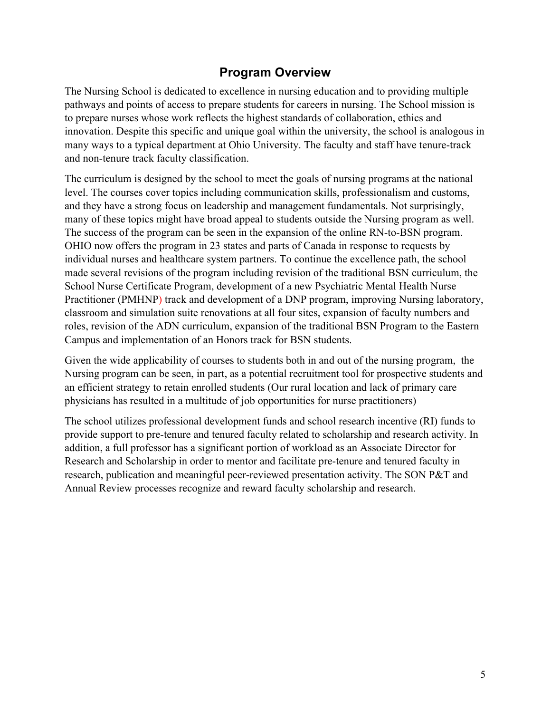## **Program Overview**

The Nursing School is dedicated to excellence in nursing education and to providing multiple pathways and points of access to prepare students for careers in nursing. The School mission is to prepare nurses whose work reflects the highest standards of collaboration, ethics and innovation. Despite this specific and unique goal within the university, the school is analogous in many ways to a typical department at Ohio University. The faculty and staff have tenure-track and non-tenure track faculty classification.

The curriculum is designed by the school to meet the goals of nursing programs at the national level. The courses cover topics including communication skills, professionalism and customs, and they have a strong focus on leadership and management fundamentals. Not surprisingly, many of these topics might have broad appeal to students outside the Nursing program as well. The success of the program can be seen in the expansion of the online RN-to-BSN program. OHIO now offers the program in 23 states and parts of Canada in response to requests by individual nurses and healthcare system partners. To continue the excellence path, the school made several revisions of the program including revision of the traditional BSN curriculum, the School Nurse Certificate Program, development of a new Psychiatric Mental Health Nurse Practitioner (PMHNP) track and development of a DNP program, improving Nursing laboratory, classroom and simulation suite renovations at all four sites, expansion of faculty numbers and roles, revision of the ADN curriculum, expansion of the traditional BSN Program to the Eastern Campus and implementation of an Honors track for BSN students.

Given the wide applicability of courses to students both in and out of the nursing program, the Nursing program can be seen, in part, as a potential recruitment tool for prospective students and an efficient strategy to retain enrolled students (Our rural location and lack of primary care physicians has resulted in a multitude of job opportunities for nurse practitioners)

The school utilizes professional development funds and school research incentive (RI) funds to provide support to pre-tenure and tenured faculty related to scholarship and research activity. In addition, a full professor has a significant portion of workload as an Associate Director for Research and Scholarship in order to mentor and facilitate pre-tenure and tenured faculty in research, publication and meaningful peer-reviewed presentation activity. The SON P&T and Annual Review processes recognize and reward faculty scholarship and research.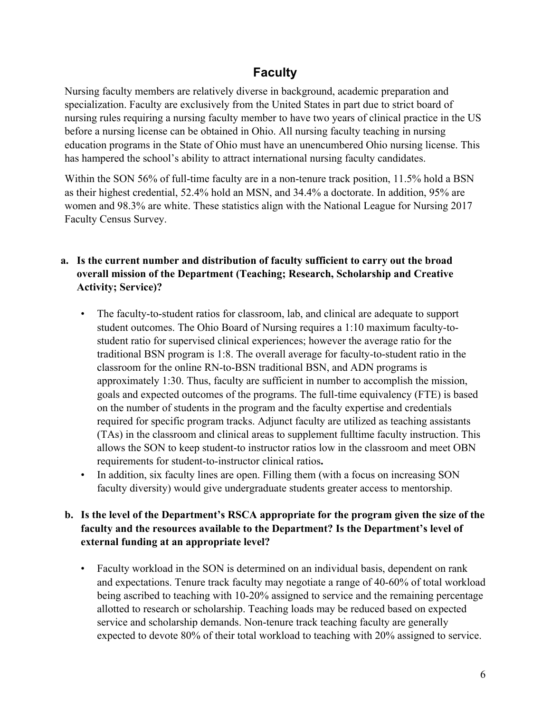## **Faculty**

Nursing faculty members are relatively diverse in background, academic preparation and specialization. Faculty are exclusively from the United States in part due to strict board of nursing rules requiring a nursing faculty member to have two years of clinical practice in the US before a nursing license can be obtained in Ohio. All nursing faculty teaching in nursing education programs in the State of Ohio must have an unencumbered Ohio nursing license. This has hampered the school's ability to attract international nursing faculty candidates.

Within the SON 56% of full-time faculty are in a non-tenure track position, 11.5% hold a BSN as their highest credential, 52.4% hold an MSN, and 34.4% a doctorate. In addition, 95% are women and 98.3% are white. These statistics align with the National League for Nursing 2017 Faculty Census Survey.

- **a. Is the current number and distribution of faculty sufficient to carry out the broad overall mission of the Department (Teaching; Research, Scholarship and Creative Activity; Service)?**
	- The faculty-to-student ratios for classroom, lab, and clinical are adequate to support student outcomes. The Ohio Board of Nursing requires a 1:10 maximum faculty-tostudent ratio for supervised clinical experiences; however the average ratio for the traditional BSN program is 1:8. The overall average for faculty-to-student ratio in the classroom for the online RN-to-BSN traditional BSN, and ADN programs is approximately 1:30. Thus, faculty are sufficient in number to accomplish the mission, goals and expected outcomes of the programs. The full-time equivalency (FTE) is based on the number of students in the program and the faculty expertise and credentials required for specific program tracks. Adjunct faculty are utilized as teaching assistants (TAs) in the classroom and clinical areas to supplement fulltime faculty instruction. This allows the SON to keep student-to instructor ratios low in the classroom and meet OBN requirements for student-to-instructor clinical ratios**.**
	- In addition, six faculty lines are open. Filling them (with a focus on increasing SON faculty diversity) would give undergraduate students greater access to mentorship.

### **b. Is the level of the Department's RSCA appropriate for the program given the size of the faculty and the resources available to the Department? Is the Department's level of external funding at an appropriate level?**

• Faculty workload in the SON is determined on an individual basis, dependent on rank and expectations. Tenure track faculty may negotiate a range of 40-60% of total workload being ascribed to teaching with 10-20% assigned to service and the remaining percentage allotted to research or scholarship. Teaching loads may be reduced based on expected service and scholarship demands. Non-tenure track teaching faculty are generally expected to devote 80% of their total workload to teaching with 20% assigned to service.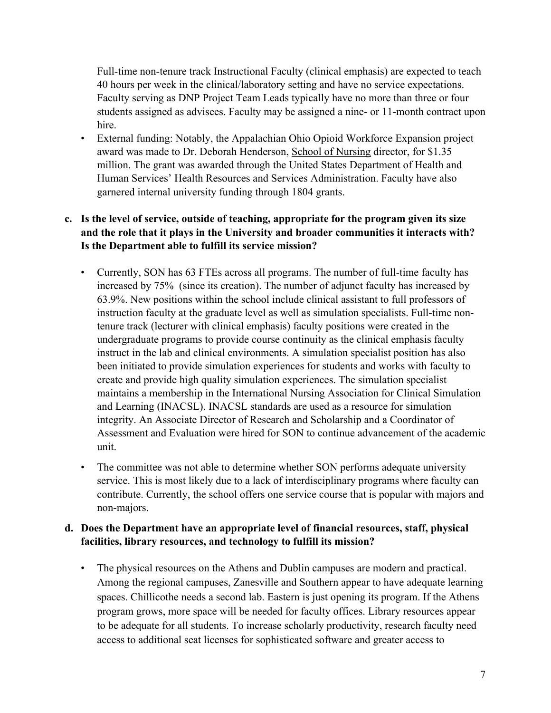Full-time non-tenure track Instructional Faculty (clinical emphasis) are expected to teach 40 hours per week in the clinical/laboratory setting and have no service expectations. Faculty serving as DNP Project Team Leads typically have no more than three or four students assigned as advisees. Faculty may be assigned a nine- or 11-month contract upon hire.

• External funding: Notably, the Appalachian Ohio Opioid Workforce Expansion project award was made to Dr. Deborah Henderson, School of Nursing director, for \$1.35 million. The grant was awarded through the United States Department of Health and Human Services' Health Resources and Services Administration. Faculty have also garnered internal university funding through 1804 grants.

## **c. Is the level of service, outside of teaching, appropriate for the program given its size and the role that it plays in the University and broader communities it interacts with? Is the Department able to fulfill its service mission?**

- Currently, SON has 63 FTEs across all programs. The number of full-time faculty has increased by 75% (since its creation). The number of adjunct faculty has increased by 63.9%. New positions within the school include clinical assistant to full professors of instruction faculty at the graduate level as well as simulation specialists. Full-time nontenure track (lecturer with clinical emphasis) faculty positions were created in the undergraduate programs to provide course continuity as the clinical emphasis faculty instruct in the lab and clinical environments. A simulation specialist position has also been initiated to provide simulation experiences for students and works with faculty to create and provide high quality simulation experiences. The simulation specialist maintains a membership in the International Nursing Association for Clinical Simulation and Learning (INACSL). INACSL standards are used as a resource for simulation integrity. An Associate Director of Research and Scholarship and a Coordinator of Assessment and Evaluation were hired for SON to continue advancement of the academic unit.
- The committee was not able to determine whether SON performs adequate university service. This is most likely due to a lack of interdisciplinary programs where faculty can contribute. Currently, the school offers one service course that is popular with majors and non-majors.

### **d. Does the Department have an appropriate level of financial resources, staff, physical facilities, library resources, and technology to fulfill its mission?**

• The physical resources on the Athens and Dublin campuses are modern and practical. Among the regional campuses, Zanesville and Southern appear to have adequate learning spaces. Chillicothe needs a second lab. Eastern is just opening its program. If the Athens program grows, more space will be needed for faculty offices. Library resources appear to be adequate for all students. To increase scholarly productivity, research faculty need access to additional seat licenses for sophisticated software and greater access to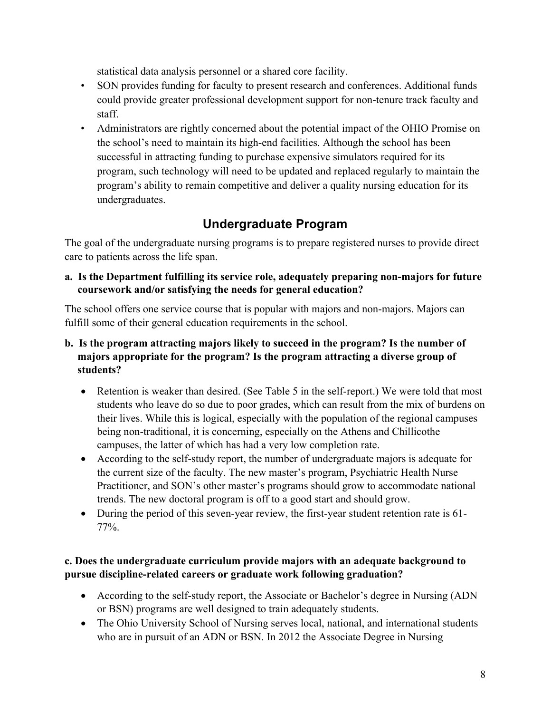statistical data analysis personnel or a shared core facility.

- SON provides funding for faculty to present research and conferences. Additional funds could provide greater professional development support for non-tenure track faculty and staff.
- Administrators are rightly concerned about the potential impact of the OHIO Promise on the school's need to maintain its high-end facilities. Although the school has been successful in attracting funding to purchase expensive simulators required for its program, such technology will need to be updated and replaced regularly to maintain the program's ability to remain competitive and deliver a quality nursing education for its undergraduates.

# **Undergraduate Program**

The goal of the undergraduate nursing programs is to prepare registered nurses to provide direct care to patients across the life span.

**a. Is the Department fulfilling its service role, adequately preparing non-majors for future coursework and/or satisfying the needs for general education?**

The school offers one service course that is popular with majors and non-majors. Majors can fulfill some of their general education requirements in the school.

- **b. Is the program attracting majors likely to succeed in the program? Is the number of majors appropriate for the program? Is the program attracting a diverse group of students?**
	- Retention is weaker than desired. (See Table 5 in the self-report.) We were told that most students who leave do so due to poor grades, which can result from the mix of burdens on their lives. While this is logical, especially with the population of the regional campuses being non-traditional, it is concerning, especially on the Athens and Chillicothe campuses, the latter of which has had a very low completion rate.
	- According to the self-study report, the number of undergraduate majors is adequate for the current size of the faculty. The new master's program, Psychiatric Health Nurse Practitioner, and SON's other master's programs should grow to accommodate national trends. The new doctoral program is off to a good start and should grow.
	- During the period of this seven-year review, the first-year student retention rate is 61- 77%.

### **c. Does the undergraduate curriculum provide majors with an adequate background to pursue discipline-related careers or graduate work following graduation?**

- According to the self-study report, the Associate or Bachelor's degree in Nursing (ADN) or BSN) programs are well designed to train adequately students.
- The Ohio University School of Nursing serves local, national, and international students who are in pursuit of an ADN or BSN. In 2012 the Associate Degree in Nursing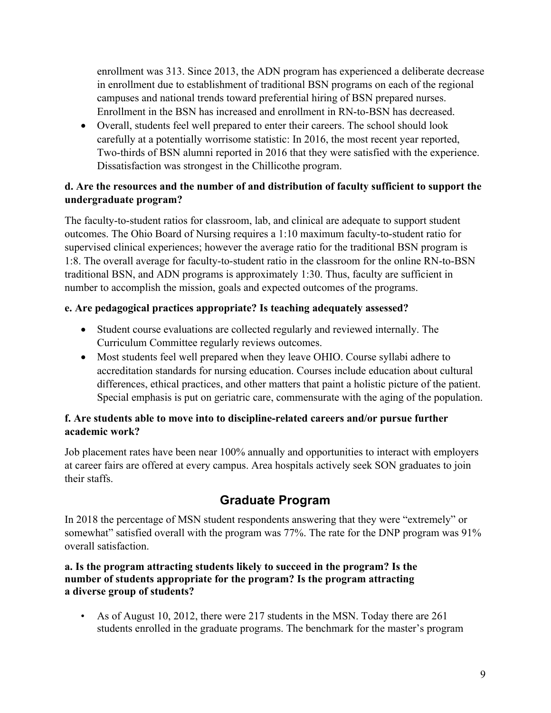enrollment was 313. Since 2013, the ADN program has experienced a deliberate decrease in enrollment due to establishment of traditional BSN programs on each of the regional campuses and national trends toward preferential hiring of BSN prepared nurses. Enrollment in the BSN has increased and enrollment in RN-to-BSN has decreased.

• Overall, students feel well prepared to enter their careers. The school should look carefully at a potentially worrisome statistic: In 2016, the most recent year reported, Two-thirds of BSN alumni reported in 2016 that they were satisfied with the experience. Dissatisfaction was strongest in the Chillicothe program.

## **d. Are the resources and the number of and distribution of faculty sufficient to support the undergraduate program?**

The faculty-to-student ratios for classroom, lab, and clinical are adequate to support student outcomes. The Ohio Board of Nursing requires a 1:10 maximum faculty-to-student ratio for supervised clinical experiences; however the average ratio for the traditional BSN program is 1:8. The overall average for faculty-to-student ratio in the classroom for the online RN-to-BSN traditional BSN, and ADN programs is approximately 1:30. Thus, faculty are sufficient in number to accomplish the mission, goals and expected outcomes of the programs.

### **e. Are pedagogical practices appropriate? Is teaching adequately assessed?**

- Student course evaluations are collected regularly and reviewed internally. The Curriculum Committee regularly reviews outcomes.
- Most students feel well prepared when they leave OHIO. Course syllabi adhere to accreditation standards for nursing education. Courses include education about cultural differences, ethical practices, and other matters that paint a holistic picture of the patient. Special emphasis is put on geriatric care, commensurate with the aging of the population.

### **f. Are students able to move into to discipline-related careers and/or pursue further academic work?**

Job placement rates have been near 100% annually and opportunities to interact with employers at career fairs are offered at every campus. Area hospitals actively seek SON graduates to join their staffs.

# **Graduate Program**

In 2018 the percentage of MSN student respondents answering that they were "extremely" or somewhat" satisfied overall with the program was 77%. The rate for the DNP program was 91% overall satisfaction.

### **a. Is the program attracting students likely to succeed in the program? Is the number of students appropriate for the program? Is the program attracting a diverse group of students?**

• As of August 10, 2012, there were 217 students in the MSN. Today there are 261 students enrolled in the graduate programs. The benchmark for the master's program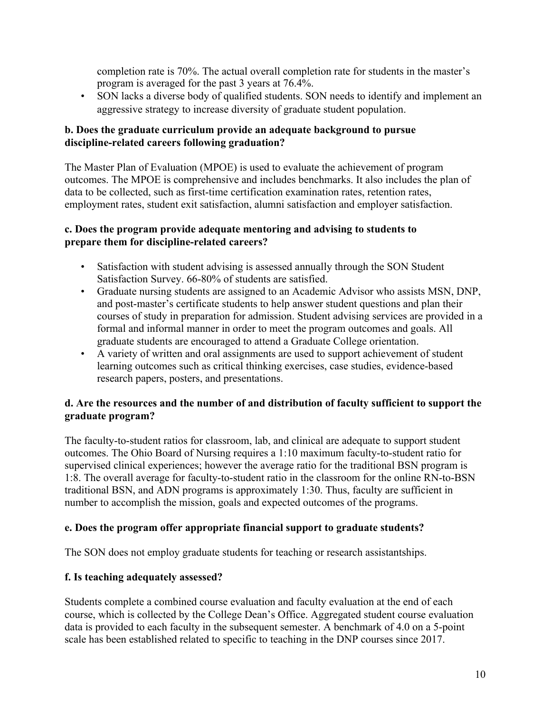completion rate is 70%. The actual overall completion rate for students in the master's program is averaged for the past 3 years at 76.4%.

• SON lacks a diverse body of qualified students. SON needs to identify and implement an aggressive strategy to increase diversity of graduate student population.

### **b. Does the graduate curriculum provide an adequate background to pursue discipline-related careers following graduation?**

The Master Plan of Evaluation (MPOE) is used to evaluate the achievement of program outcomes. The MPOE is comprehensive and includes benchmarks. It also includes the plan of data to be collected, such as first-time certification examination rates, retention rates, employment rates, student exit satisfaction, alumni satisfaction and employer satisfaction.

#### **c. Does the program provide adequate mentoring and advising to students to prepare them for discipline-related careers?**

- Satisfaction with student advising is assessed annually through the SON Student Satisfaction Survey. 66-80% of students are satisfied.
- Graduate nursing students are assigned to an Academic Advisor who assists MSN, DNP, and post-master's certificate students to help answer student questions and plan their courses of study in preparation for admission. Student advising services are provided in a formal and informal manner in order to meet the program outcomes and goals. All graduate students are encouraged to attend a Graduate College orientation.
- A variety of written and oral assignments are used to support achievement of student learning outcomes such as critical thinking exercises, case studies, evidence-based research papers, posters, and presentations.

### **d. Are the resources and the number of and distribution of faculty sufficient to support the graduate program?**

The faculty-to-student ratios for classroom, lab, and clinical are adequate to support student outcomes. The Ohio Board of Nursing requires a 1:10 maximum faculty-to-student ratio for supervised clinical experiences; however the average ratio for the traditional BSN program is 1:8. The overall average for faculty-to-student ratio in the classroom for the online RN-to-BSN traditional BSN, and ADN programs is approximately 1:30. Thus, faculty are sufficient in number to accomplish the mission, goals and expected outcomes of the programs.

### **e. Does the program offer appropriate financial support to graduate students?**

The SON does not employ graduate students for teaching or research assistantships.

### **f. Is teaching adequately assessed?**

Students complete a combined course evaluation and faculty evaluation at the end of each course, which is collected by the College Dean's Office. Aggregated student course evaluation data is provided to each faculty in the subsequent semester. A benchmark of 4.0 on a 5-point scale has been established related to specific to teaching in the DNP courses since 2017.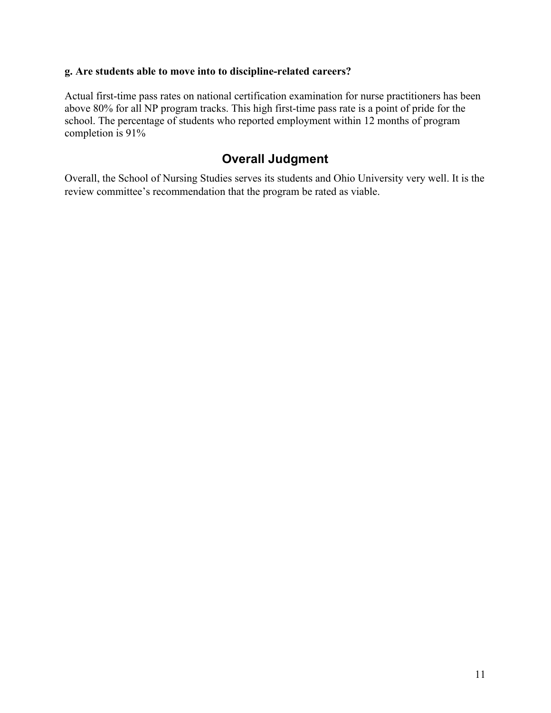#### **g. Are students able to move into to discipline-related careers?**

Actual first-time pass rates on national certification examination for nurse practitioners has been above 80% for all NP program tracks. This high first-time pass rate is a point of pride for the school. The percentage of students who reported employment within 12 months of program completion is 91%

## **Overall Judgment**

Overall, the School of Nursing Studies serves its students and Ohio University very well. It is the review committee's recommendation that the program be rated as viable.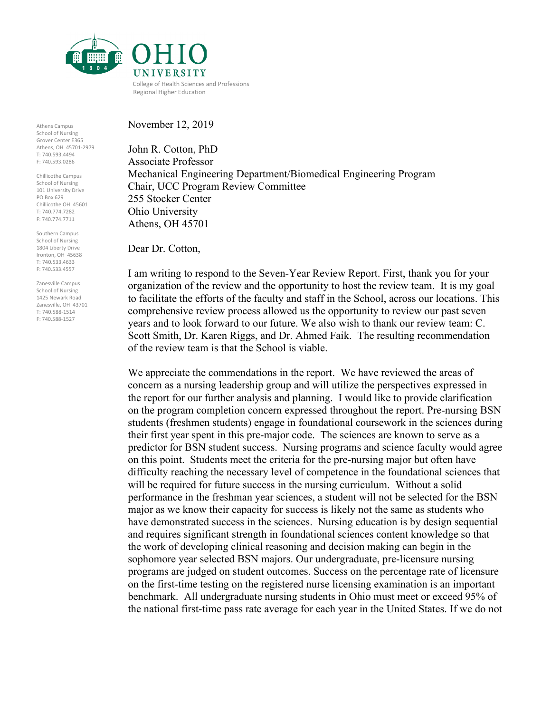

November 12, 2019

Athens Campus School of Nursing Grover Center E365 Athens, OH 45701-2979 T: 740.593.4494 F: 740.593.0286

Chillicothe Campus School of Nursing 101 University Drive PO Box 629 Chillicothe OH 45601 T: 740.774.7282 F: 740.774.7711

Southern Campus School of Nursing 1804 Liberty Drive Ironton, OH 45638 T: 740.533.4633 F: 740.533.4557

Zanesville Campus School of Nursing 1425 Newark Road Zanesville, OH 43701 T: 740.588-1514 F: 740.588-1527

John R. Cotton, PhD Associate Professor Mechanical Engineering Department/Biomedical Engineering Program Chair, UCC Program Review Committee 255 Stocker Center Ohio University Athens, OH 45701

Dear Dr. Cotton,

I am writing to respond to the Seven-Year Review Report. First, thank you for your organization of the review and the opportunity to host the review team. It is my goal to facilitate the efforts of the faculty and staff in the School, across our locations. This comprehensive review process allowed us the opportunity to review our past seven years and to look forward to our future. We also wish to thank our review team: C. Scott Smith, Dr. Karen Riggs, and Dr. Ahmed Faik. The resulting recommendation of the review team is that the School is viable.

We appreciate the commendations in the report. We have reviewed the areas of concern as a nursing leadership group and will utilize the perspectives expressed in the report for our further analysis and planning. I would like to provide clarification on the program completion concern expressed throughout the report. Pre-nursing BSN students (freshmen students) engage in foundational coursework in the sciences during their first year spent in this pre-major code. The sciences are known to serve as a predictor for BSN student success. Nursing programs and science faculty would agree on this point. Students meet the criteria for the pre-nursing major but often have difficulty reaching the necessary level of competence in the foundational sciences that will be required for future success in the nursing curriculum. Without a solid performance in the freshman year sciences, a student will not be selected for the BSN major as we know their capacity for success is likely not the same as students who have demonstrated success in the sciences. Nursing education is by design sequential and requires significant strength in foundational sciences content knowledge so that the work of developing clinical reasoning and decision making can begin in the sophomore year selected BSN majors. Our undergraduate, pre-licensure nursing programs are judged on student outcomes. Success on the percentage rate of licensure on the first-time testing on the registered nurse licensing examination is an important benchmark. All undergraduate nursing students in Ohio must meet or exceed 95% of the national first-time pass rate average for each year in the United States. If we do not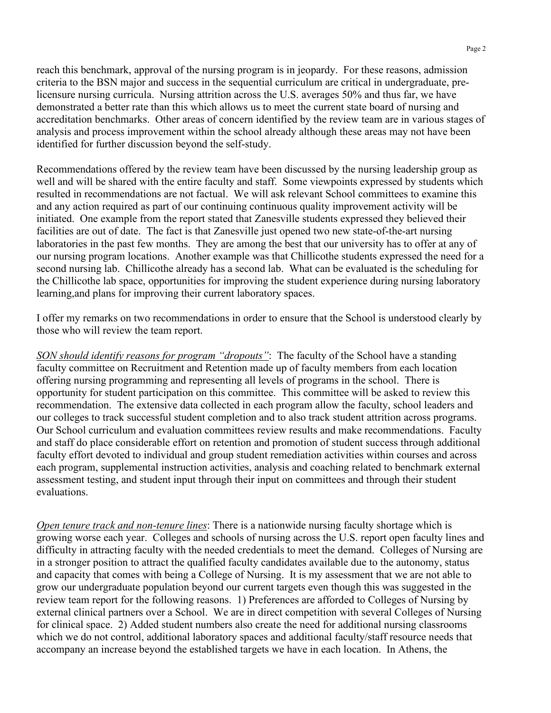reach this benchmark, approval of the nursing program is in jeopardy. For these reasons, admission criteria to the BSN major and success in the sequential curriculum are critical in undergraduate, prelicensure nursing curricula. Nursing attrition across the U.S. averages 50% and thus far, we have demonstrated a better rate than this which allows us to meet the current state board of nursing and accreditation benchmarks. Other areas of concern identified by the review team are in various stages of analysis and process improvement within the school already although these areas may not have been identified for further discussion beyond the self-study.

Recommendations offered by the review team have been discussed by the nursing leadership group as well and will be shared with the entire faculty and staff. Some viewpoints expressed by students which resulted in recommendations are not factual. We will ask relevant School committees to examine this and any action required as part of our continuing continuous quality improvement activity will be initiated. One example from the report stated that Zanesville students expressed they believed their facilities are out of date. The fact is that Zanesville just opened two new state-of-the-art nursing laboratories in the past few months. They are among the best that our university has to offer at any of our nursing program locations. Another example was that Chillicothe students expressed the need for a second nursing lab. Chillicothe already has a second lab. What can be evaluated is the scheduling for the Chillicothe lab space, opportunities for improving the student experience during nursing laboratory learning,and plans for improving their current laboratory spaces.

I offer my remarks on two recommendations in order to ensure that the School is understood clearly by those who will review the team report.

*SON should identify reasons for program "dropouts"*: The faculty of the School have a standing faculty committee on Recruitment and Retention made up of faculty members from each location offering nursing programming and representing all levels of programs in the school. There is opportunity for student participation on this committee. This committee will be asked to review this recommendation. The extensive data collected in each program allow the faculty, school leaders and our colleges to track successful student completion and to also track student attrition across programs. Our School curriculum and evaluation committees review results and make recommendations. Faculty and staff do place considerable effort on retention and promotion of student success through additional faculty effort devoted to individual and group student remediation activities within courses and across each program, supplemental instruction activities, analysis and coaching related to benchmark external assessment testing, and student input through their input on committees and through their student evaluations.

*Open tenure track and non-tenure lines*: There is a nationwide nursing faculty shortage which is growing worse each year. Colleges and schools of nursing across the U.S. report open faculty lines and difficulty in attracting faculty with the needed credentials to meet the demand. Colleges of Nursing are in a stronger position to attract the qualified faculty candidates available due to the autonomy, status and capacity that comes with being a College of Nursing. It is my assessment that we are not able to grow our undergraduate population beyond our current targets even though this was suggested in the review team report for the following reasons. 1) Preferences are afforded to Colleges of Nursing by external clinical partners over a School. We are in direct competition with several Colleges of Nursing for clinical space. 2) Added student numbers also create the need for additional nursing classrooms which we do not control, additional laboratory spaces and additional faculty/staff resource needs that accompany an increase beyond the established targets we have in each location. In Athens, the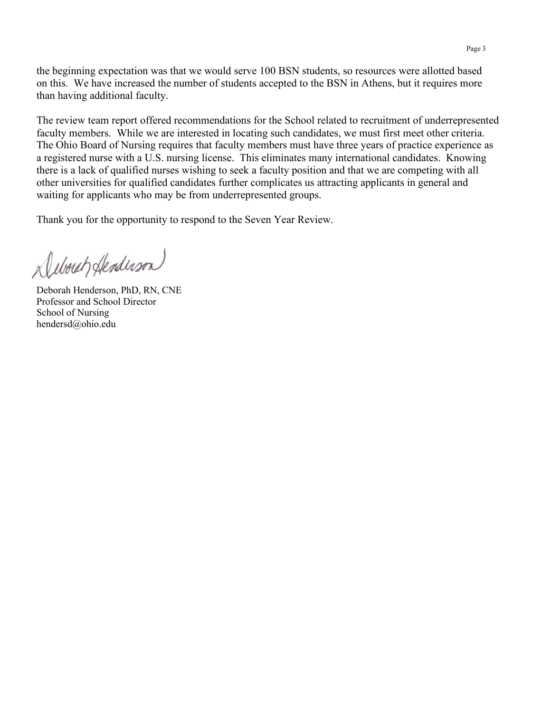the beginning expectation was that we would serve 100 BSN students, so resources were allotted based on this. We have increased the number of students accepted to the BSN in Athens, but it requires more than having additional faculty.

The review team report offered recommendations for the School related to recruitment of underrepresented faculty members. While we are interested in locating such candidates, we must first meet other criteria. The Ohio Board of Nursing requires that faculty members must have three years of practice experience as a registered nurse with a U.S. nursing license. This eliminates many international candidates. Knowing there is a lack of qualified nurses wishing to seek a faculty position and that we are competing with all other universities for qualified candidates further complicates us attracting applicants in general and waiting for applicants who may be from underrepresented groups.

Thank you for the opportunity to respond to the Seven Year Review.

Debouch Henderson

Deborah Henderson, PhD, RN, CNE Professor and School Director School of Nursing hendersd@ohio.edu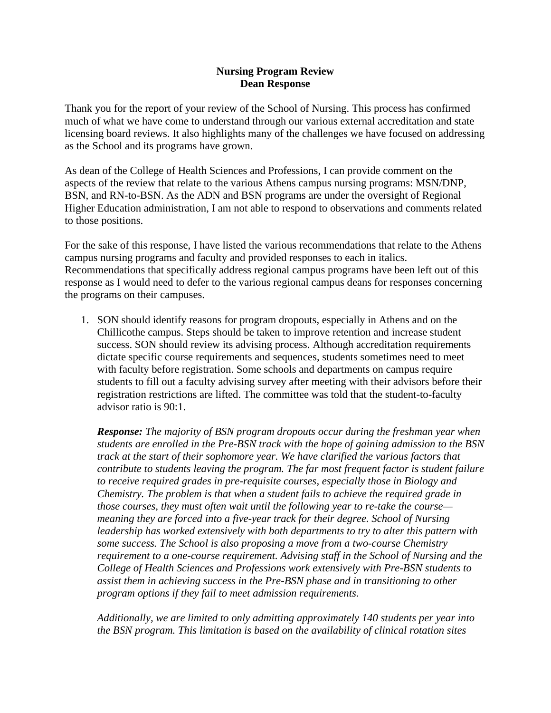#### **Nursing Program Review Dean Response**

Thank you for the report of your review of the School of Nursing. This process has confirmed much of what we have come to understand through our various external accreditation and state licensing board reviews. It also highlights many of the challenges we have focused on addressing as the School and its programs have grown.

As dean of the College of Health Sciences and Professions, I can provide comment on the aspects of the review that relate to the various Athens campus nursing programs: MSN/DNP, BSN, and RN-to-BSN. As the ADN and BSN programs are under the oversight of Regional Higher Education administration, I am not able to respond to observations and comments related to those positions.

For the sake of this response, I have listed the various recommendations that relate to the Athens campus nursing programs and faculty and provided responses to each in italics. Recommendations that specifically address regional campus programs have been left out of this response as I would need to defer to the various regional campus deans for responses concerning the programs on their campuses.

1. SON should identify reasons for program dropouts, especially in Athens and on the Chillicothe campus. Steps should be taken to improve retention and increase student success. SON should review its advising process. Although accreditation requirements dictate specific course requirements and sequences, students sometimes need to meet with faculty before registration. Some schools and departments on campus require students to fill out a faculty advising survey after meeting with their advisors before their registration restrictions are lifted. The committee was told that the student-to-faculty advisor ratio is 90:1.

*Response: The majority of BSN program dropouts occur during the freshman year when students are enrolled in the Pre-BSN track with the hope of gaining admission to the BSN track at the start of their sophomore year. We have clarified the various factors that contribute to students leaving the program. The far most frequent factor is student failure to receive required grades in pre-requisite courses, especially those in Biology and Chemistry. The problem is that when a student fails to achieve the required grade in those courses, they must often wait until the following year to re-take the course meaning they are forced into a five-year track for their degree. School of Nursing leadership has worked extensively with both departments to try to alter this pattern with some success. The School is also proposing a move from a two-course Chemistry requirement to a one-course requirement. Advising staff in the School of Nursing and the College of Health Sciences and Professions work extensively with Pre-BSN students to assist them in achieving success in the Pre-BSN phase and in transitioning to other program options if they fail to meet admission requirements.*

*Additionally, we are limited to only admitting approximately 140 students per year into the BSN program. This limitation is based on the availability of clinical rotation sites*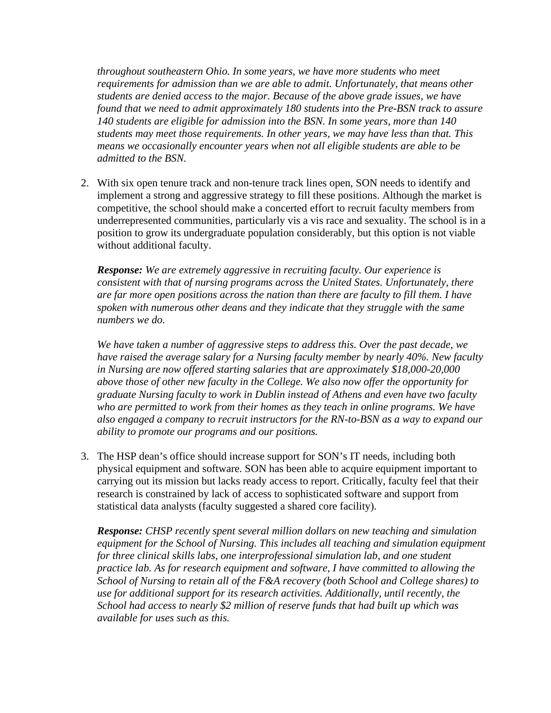*throughout southeastern Ohio. In some years, we have more students who meet requirements for admission than we are able to admit. Unfortunately, that means other students are denied access to the major. Because of the above grade issues, we have found that we need to admit approximately 180 students into the Pre-BSN track to assure 140 students are eligible for admission into the BSN. In some years, more than 140 students may meet those requirements. In other years, we may have less than that. This means we occasionally encounter years when not all eligible students are able to be admitted to the BSN.* 

2. With six open tenure track and non-tenure track lines open, SON needs to identify and implement a strong and aggressive strategy to fill these positions. Although the market is competitive, the school should make a concerted effort to recruit faculty members from underrepresented communities, particularly vis a vis race and sexuality. The school is in a position to grow its undergraduate population considerably, but this option is not viable without additional faculty.

*Response: We are extremely aggressive in recruiting faculty. Our experience is consistent with that of nursing programs across the United States. Unfortunately, there are far more open positions across the nation than there are faculty to fill them. I have spoken with numerous other deans and they indicate that they struggle with the same numbers we do.*

*We have taken a number of aggressive steps to address this. Over the past decade, we have raised the average salary for a Nursing faculty member by nearly 40%. New faculty in Nursing are now offered starting salaries that are approximately \$18,000-20,000 above those of other new faculty in the College. We also now offer the opportunity for graduate Nursing faculty to work in Dublin instead of Athens and even have two faculty*  who are permitted to work from their homes as they teach in online programs. We have *also engaged a company to recruit instructors for the RN-to-BSN as a way to expand our ability to promote our programs and our positions.*

3. The HSP dean's office should increase support for SON's IT needs, including both physical equipment and software. SON has been able to acquire equipment important to carrying out its mission but lacks ready access to report. Critically, faculty feel that their research is constrained by lack of access to sophisticated software and support from statistical data analysts (faculty suggested a shared core facility).

*Response: CHSP recently spent several million dollars on new teaching and simulation equipment for the School of Nursing. This includes all teaching and simulation equipment for three clinical skills labs, one interprofessional simulation lab, and one student practice lab. As for research equipment and software, I have committed to allowing the School of Nursing to retain all of the F&A recovery (both School and College shares) to use for additional support for its research activities. Additionally, until recently, the School had access to nearly \$2 million of reserve funds that had built up which was available for uses such as this.*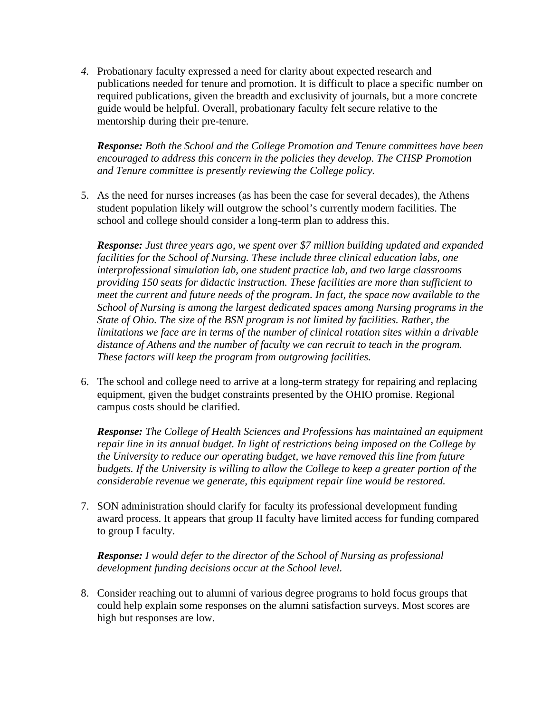*4.* Probationary faculty expressed a need for clarity about expected research and publications needed for tenure and promotion. It is difficult to place a specific number on required publications, given the breadth and exclusivity of journals, but a more concrete guide would be helpful. Overall, probationary faculty felt secure relative to the mentorship during their pre-tenure.

*Response: Both the School and the College Promotion and Tenure committees have been encouraged to address this concern in the policies they develop. The CHSP Promotion and Tenure committee is presently reviewing the College policy.*

5. As the need for nurses increases (as has been the case for several decades), the Athens student population likely will outgrow the school's currently modern facilities. The school and college should consider a long-term plan to address this.

*Response: Just three years ago, we spent over \$7 million building updated and expanded facilities for the School of Nursing. These include three clinical education labs, one interprofessional simulation lab, one student practice lab, and two large classrooms providing 150 seats for didactic instruction. These facilities are more than sufficient to meet the current and future needs of the program. In fact, the space now available to the School of Nursing is among the largest dedicated spaces among Nursing programs in the State of Ohio. The size of the BSN program is not limited by facilities. Rather, the limitations we face are in terms of the number of clinical rotation sites within a drivable distance of Athens and the number of faculty we can recruit to teach in the program. These factors will keep the program from outgrowing facilities.* 

6. The school and college need to arrive at a long-term strategy for repairing and replacing equipment, given the budget constraints presented by the OHIO promise. Regional campus costs should be clarified.

*Response: The College of Health Sciences and Professions has maintained an equipment repair line in its annual budget. In light of restrictions being imposed on the College by the University to reduce our operating budget, we have removed this line from future budgets. If the University is willing to allow the College to keep a greater portion of the considerable revenue we generate, this equipment repair line would be restored.* 

7. SON administration should clarify for faculty its professional development funding award process. It appears that group II faculty have limited access for funding compared to group I faculty.

*Response: I would defer to the director of the School of Nursing as professional development funding decisions occur at the School level.*

8. Consider reaching out to alumni of various degree programs to hold focus groups that could help explain some responses on the alumni satisfaction surveys. Most scores are high but responses are low.